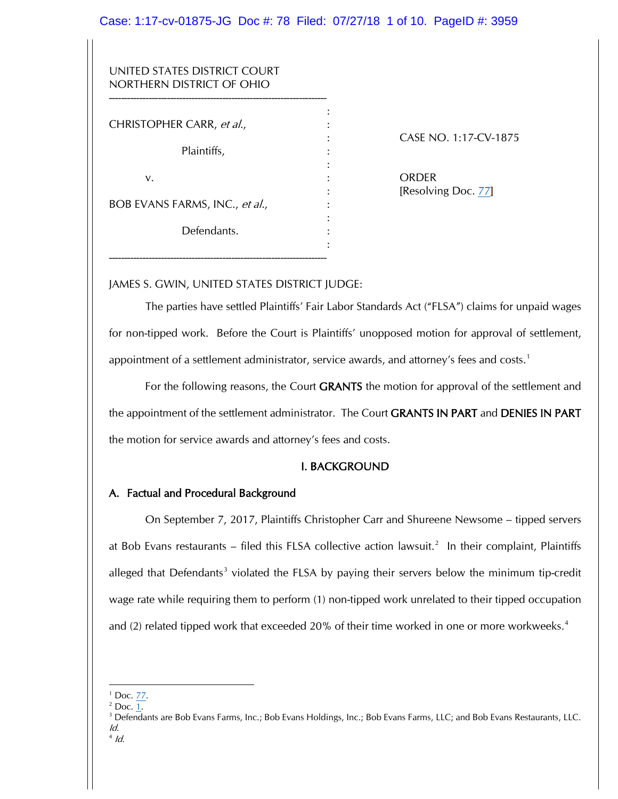## Case: 1:17-cv-01875-JG Doc #: 78 Filed: 07/27/18 1 of 10. PageID #: 3959

:

:

:

:

| UNITED STATES DISTRICT COURT |  |
|------------------------------|--|
| NORTHERN DISTRICT OF OHIO    |  |
|                              |  |

CHRISTOPHER CARR, et al.,

Plaintiffs,

v. : ORDER

BOB EVANS FARMS, INC., et al.,

Defendants.

-----------------------------------------------------------------------

: CASE NO. 1:17-CV-1875

[Resolving Doc. 77]

# JAMES S. GWIN, UNITED STATES DISTRICT JUDGE:

The parties have settled Plaintiffs' Fair Labor Standards Act ("FLSA") claims for unpaid wages for non-tipped work. Before the Court is Plaintiffs' unopposed motion for approval of settlement, appointment of a settlement administrator, service awards, and attorney's fees and costs.<sup>1</sup>

For the following reasons, the Court **GRANTS** the motion for approval of the settlement and the appointment of the settlement administrator. The Court GRANTS IN PART and DENIES IN PART the motion for service awards and attorney's fees and costs.

# I. BACKGROUND

# A. Factual and Procedural Background

On September 7, 2017, Plaintiffs Christopher Carr and Shureene Newsome – tipped servers at Bob Evans restaurants – filed this FLSA collective action lawsuit.<sup>2</sup> In their complaint, Plaintiffs alleged that Defendants<sup>3</sup> violated the FLSA by paying their servers below the minimum tip-credit wage rate while requiring them to perform (1) non-tipped work unrelated to their tipped occupation and (2) related tipped work that exceeded 20% of their time worked in one or more workweeks.<sup>4</sup>

 $4$  Id.

l  $1$  Doc. 77.

 $<sup>2</sup>$  Doc. 1.</sup>

<sup>&</sup>lt;sup>3</sup> Defendants are Bob Evans Farms, Inc.; Bob Evans Holdings, Inc.; Bob Evans Farms, LLC; and Bob Evans Restaurants, LLC. Id.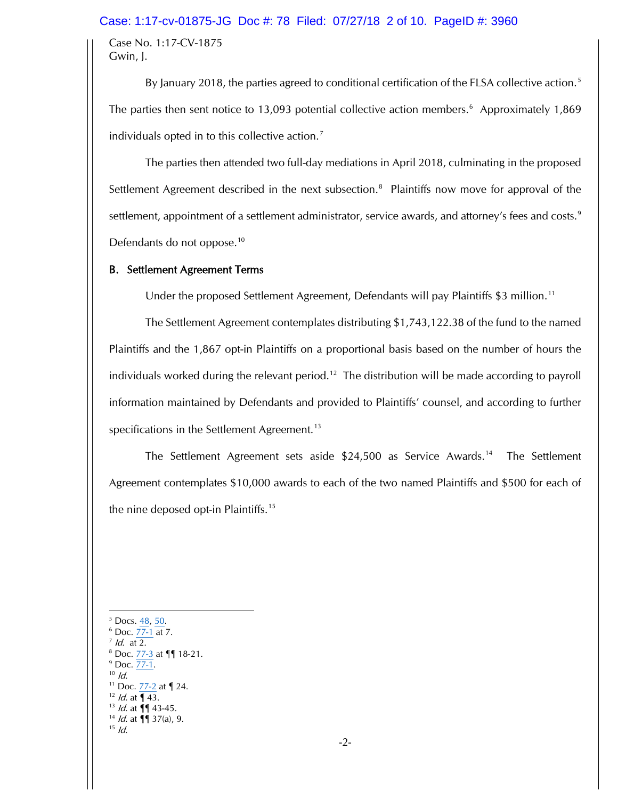#### Case: 1:17-cv-01875-JG Doc #: 78 Filed: 07/27/18 2 of 10. PageID #: 3960

Case No. 1:17-CV-1875 Gwin, J.

By January 2018, the parties agreed to conditional certification of the FLSA collective action.<sup>5</sup> The parties then sent notice to 13,093 potential collective action members.<sup>6</sup> Approximately 1,869 individuals opted in to this collective action.<sup>7</sup>

The parties then attended two full-day mediations in April 2018, culminating in the proposed Settlement Agreement described in the next subsection.<sup>8</sup> Plaintiffs now move for approval of the settlement, appointment of a settlement administrator, service awards, and attorney's fees and costs.<sup>9</sup> Defendants do not oppose.<sup>10</sup>

#### B. Settlement Agreement Terms

Under the proposed Settlement Agreement, Defendants will pay Plaintiffs \$3 million.<sup>11</sup>

The Settlement Agreement contemplates distributing \$1,743,122.38 of the fund to the named Plaintiffs and the 1,867 opt-in Plaintiffs on a proportional basis based on the number of hours the individuals worked during the relevant period.<sup>12</sup> The distribution will be made according to payroll information maintained by Defendants and provided to Plaintiffs' counsel, and according to further specifications in the Settlement Agreement.<sup>13</sup>

The Settlement Agreement sets aside \$24,500 as Service Awards.14 The Settlement Agreement contemplates \$10,000 awards to each of the two named Plaintiffs and \$500 for each of the nine deposed opt-in Plaintiffs.<sup>15</sup>

l  $5$  Docs.  $\frac{48}{50}$ .  $6$  Doc.  $77-1$  at 7.  $<sup>7</sup>$  *Id.* at 2.</sup> <sup>8</sup> Doc. 77-3 at ¶¶ 18-21.  $^{9}$  Doc.  $\frac{77-1}{10}$ . <sup>11</sup> Doc. 77-2 at **[24.**  $12$  *ld.* at  $\sqrt{43}$ .  $13$  *ld.* at  $\P\P$  43-45.  $14$  *ld.* at  $\P\P$  37(a), 9.  $15$  *Id.*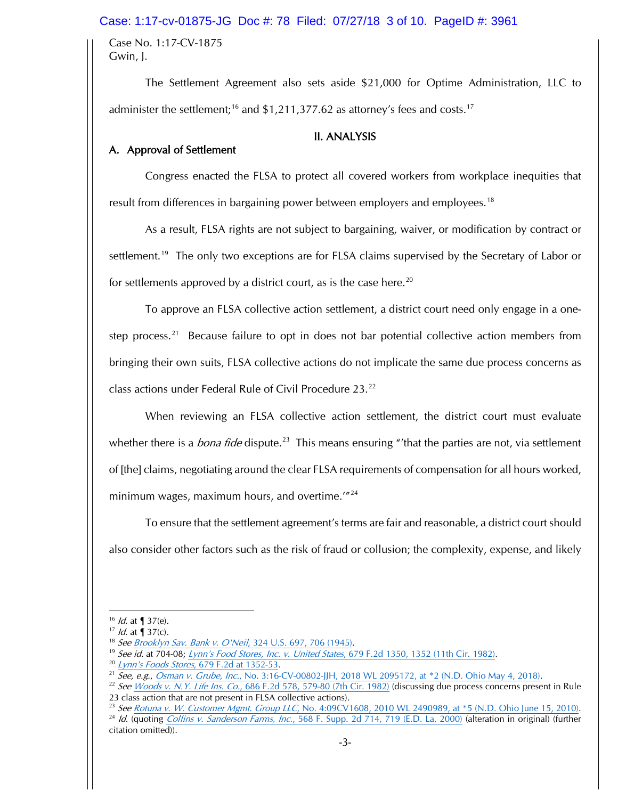### Case: 1:17-cv-01875-JG Doc #: 78 Filed: 07/27/18 3 of 10. PageID #: 3961

Case No. 1:17-CV-1875 Gwin, J.

The Settlement Agreement also sets aside \$21,000 for Optime Administration, LLC to administer the settlement;<sup>16</sup> and  $$1,211,377.62$  as attorney's fees and costs.<sup>17</sup>

### II. ANALYSIS

# A. Approval of Settlement

Congress enacted the FLSA to protect all covered workers from workplace inequities that result from differences in bargaining power between employers and employees.<sup>18</sup>

As a result, FLSA rights are not subject to bargaining, waiver, or modification by contract or settlement.<sup>19</sup> The only two exceptions are for FLSA claims supervised by the Secretary of Labor or for settlements approved by a district court, as is the case here.<sup>20</sup>

To approve an FLSA collective action settlement, a district court need only engage in a onestep process.<sup>21</sup> Because failure to opt in does not bar potential collective action members from bringing their own suits, FLSA collective actions do not implicate the same due process concerns as class actions under Federal Rule of Civil Procedure 23.<sup>22</sup>

When reviewing an FLSA collective action settlement, the district court must evaluate whether there is a *bona fide* dispute.<sup>23</sup> This means ensuring "'that the parties are not, via settlement of [the] claims, negotiating around the clear FLSA requirements of compensation for all hours worked, minimum wages, maximum hours, and overtime.'"24

To ensure that the settlement agreement's terms are fair and reasonable, a district court should also consider other factors such as the risk of fraud or collusion; the complexity, expense, and likely

 $16$  *ld.* at  $\sqrt{ }$  37(e).

 $17$  *Id.* at  $\sqrt{ }$  37(c).

<sup>&</sup>lt;sup>18</sup> See Brooklyn Sav. Bank v. O'Neil, 324 U.S. 697, 706 (1945).

<sup>&</sup>lt;sup>19</sup> See id. at 704-08; Lynn's Food Stores, Inc. v. United States, 679 F.2d 1350, 1352 (11th Cir. 1982).

 $\frac{20}{2}$  Lynn's Foods Stores, 679 F.2d at 1352-53.<br>
<sup>21</sup> See, e.g., Osman v. Grube, Inc., No. 3:16-CV-00802-JJH, 2018 WL 2095172, at \*2 (N.D. Ohio May 4, 2018).

<sup>&</sup>lt;sup>22</sup> See Woods v. N.Y. Life Ins. Co., 686 F.2d 578, 579-80 (7th Cir. 1982) (discussing due process concerns present in Rule 23 class action that are not present in FLSA collective actions).<br><sup>23</sup> See Rotuna v. W. Customer Mgmt. Group LLC, No. 4:09CV1608, 2010 WL 2490989, at \*5 (N.D. Ohio June 15, 2010).

<sup>&</sup>lt;sup>24</sup> Id. (quoting Collins v. Sanderson Farms, Inc., 568 F. Supp. 2d 714, 719 (E.D. La. 2000) (alteration in original) (further citation omitted)).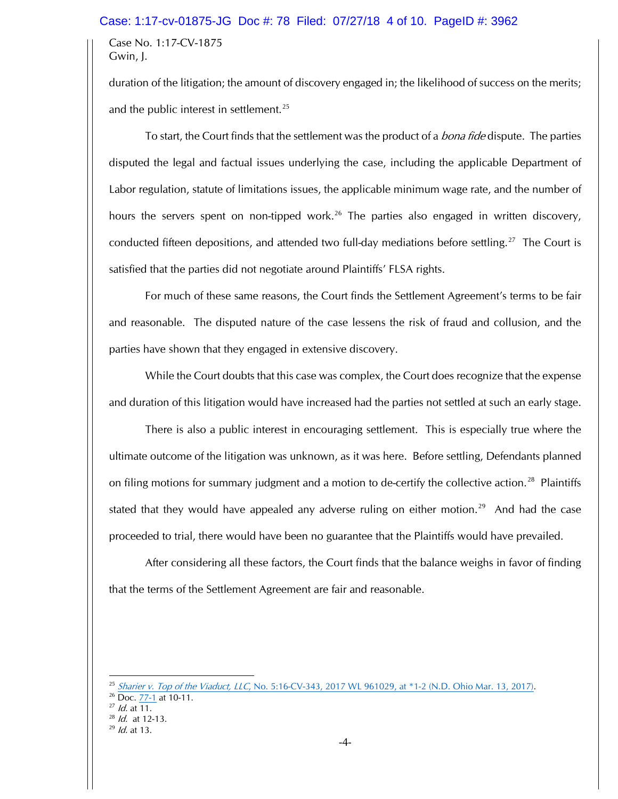#### Case: 1:17-cv-01875-JG Doc #: 78 Filed: 07/27/18 4 of 10. PageID #: 3962

Case No. 1:17-CV-1875 Gwin, J.

duration of the litigation; the amount of discovery engaged in; the likelihood of success on the merits; and the public interest in settlement.<sup>25</sup>

To start, the Court finds that the settlement was the product of a *bona fide* dispute. The parties disputed the legal and factual issues underlying the case, including the applicable Department of Labor regulation, statute of limitations issues, the applicable minimum wage rate, and the number of hours the servers spent on non-tipped work.<sup>26</sup> The parties also engaged in written discovery, conducted fifteen depositions, and attended two full-day mediations before settling.<sup>27</sup> The Court is satisfied that the parties did not negotiate around Plaintiffs' FLSA rights.

For much of these same reasons, the Court finds the Settlement Agreement's terms to be fair and reasonable. The disputed nature of the case lessens the risk of fraud and collusion, and the parties have shown that they engaged in extensive discovery.

While the Court doubts that this case was complex, the Court does recognize that the expense and duration of this litigation would have increased had the parties not settled at such an early stage.

There is also a public interest in encouraging settlement. This is especially true where the ultimate outcome of the litigation was unknown, as it was here. Before settling, Defendants planned on filing motions for summary judgment and a motion to de-certify the collective action.<sup>28</sup> Plaintiffs stated that they would have appealed any adverse ruling on either motion.<sup>29</sup> And had the case proceeded to trial, there would have been no guarantee that the Plaintiffs would have prevailed.

After considering all these factors, the Court finds that the balance weighs in favor of finding that the terms of the Settlement Agreement are fair and reasonable.

<sup>&</sup>lt;sup>25</sup> Sharier v. Top of the Viaduct, LLC, No. 5:16-CV-343, 2017 WL 961029, at \*1-2 (N.D. Ohio Mar. 13, 2017).<br><sup>26</sup> Doc. 77-1 at 10-11.

 $^{27}$  *ld.* at 11.

 $28$  *ld.* at 12-13.

 $^{29}$  *ld.* at 13.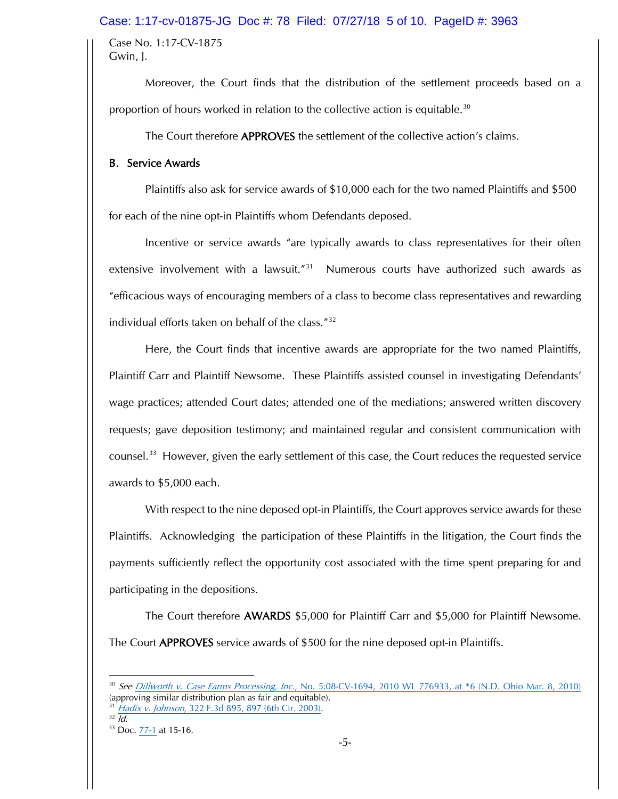### Case: 1:17-cv-01875-JG Doc #: 78 Filed: 07/27/18 5 of 10. PageID #: 3963

Case No. 1:17-CV-1875 Gwin, J.

Moreover, the Court finds that the distribution of the settlement proceeds based on a proportion of hours worked in relation to the collective action is equitable.<sup>30</sup>

The Court therefore APPROVES the settlement of the collective action's claims.

## B. Service Awards

Plaintiffs also ask for service awards of \$10,000 each for the two named Plaintiffs and \$500 for each of the nine opt-in Plaintiffs whom Defendants deposed.

Incentive or service awards "are typically awards to class representatives for their often extensive involvement with a lawsuit.<sup>"31</sup> Numerous courts have authorized such awards as "efficacious ways of encouraging members of a class to become class representatives and rewarding individual efforts taken on behalf of the class."32

Here, the Court finds that incentive awards are appropriate for the two named Plaintiffs, Plaintiff Carr and Plaintiff Newsome. These Plaintiffs assisted counsel in investigating Defendants' wage practices; attended Court dates; attended one of the mediations; answered written discovery requests; gave deposition testimony; and maintained regular and consistent communication with counsel.33 However, given the early settlement of this case, the Court reduces the requested service awards to \$5,000 each.

With respect to the nine deposed opt-in Plaintiffs, the Court approves service awards for these Plaintiffs. Acknowledging the participation of these Plaintiffs in the litigation, the Court finds the payments sufficiently reflect the opportunity cost associated with the time spent preparing for and participating in the depositions.

The Court therefore AWARDS \$5,000 for Plaintiff Carr and \$5,000 for Plaintiff Newsome. The Court APPROVES service awards of \$500 for the nine deposed opt-in Plaintiffs.

 $32 \overline{Id}$ .

<sup>&</sup>lt;sup>30</sup> See Dillworth v. Case Farms Processing, Inc., No. 5:08-CV-1694, 2010 WL 776933, at \*6 (N.D. Ohio Mar. 8, 2010) (approving similar distribution plan as fair and equitable). <sup>31</sup> Hadix v. Johnson, 322 F.3d 895, 897 (6th Cir. 2003).

<sup>33</sup> Doc. 77-1 at 15-16.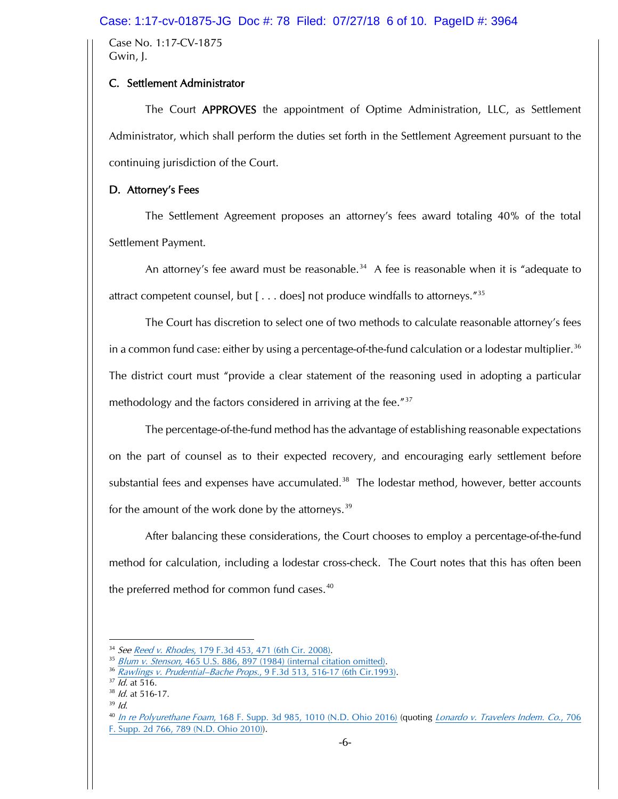### Case: 1:17-cv-01875-JG Doc #: 78 Filed: 07/27/18 6 of 10. PageID #: 3964

Case No. 1:17-CV-1875 Gwin, J.

# C. Settlement Administrator

The Court APPROVES the appointment of Optime Administration, LLC, as Settlement Administrator, which shall perform the duties set forth in the Settlement Agreement pursuant to the continuing jurisdiction of the Court.

# D. Attorney's Fees

The Settlement Agreement proposes an attorney's fees award totaling 40% of the total Settlement Payment.

An attorney's fee award must be reasonable.<sup>34</sup> A fee is reasonable when it is "adequate to attract competent counsel, but  $[\ldots]$  does] not produce windfalls to attorneys."<sup>35</sup>

The Court has discretion to select one of two methods to calculate reasonable attorney's fees in a common fund case: either by using a percentage-of-the-fund calculation or a lodestar multiplier.<sup>36</sup> The district court must "provide a clear statement of the reasoning used in adopting a particular methodology and the factors considered in arriving at the fee."<sup>37</sup>

The percentage-of-the-fund method has the advantage of establishing reasonable expectations on the part of counsel as to their expected recovery, and encouraging early settlement before substantial fees and expenses have accumulated.<sup>38</sup> The lodestar method, however, better accounts for the amount of the work done by the attorneys.<sup>39</sup>

After balancing these considerations, the Court chooses to employ a percentage-of-the-fund method for calculation, including a lodestar cross-check. The Court notes that this has often been the preferred method for common fund cases.<sup>40</sup>

 $39$  Id.

<sup>34</sup> See Reed v. Rhodes, 179 F.3d 453, 471 (6th Cir. 2008).

<sup>&</sup>lt;sup>35</sup> Blum v. Stenson, 465 U.S. 886, 897 (1984) (internal citation omitted).

<sup>&</sup>lt;sup>36</sup> Rawlings v. Prudential–Bache Props., 9 F.3d 513, 516-17 (6th Cir.1993).<br><sup>37</sup> Id. at 516.

 $38$  *Id.* at 516-17.

<sup>&</sup>lt;sup>40</sup> In re Polyurethane Foam, 168 F. Supp. 3d 985, 1010 (N.D. Ohio 2016) (quoting *Lonardo v. Travelers Indem. Co., 706* F. Supp. 2d 766, 789 (N.D. Ohio 2010)).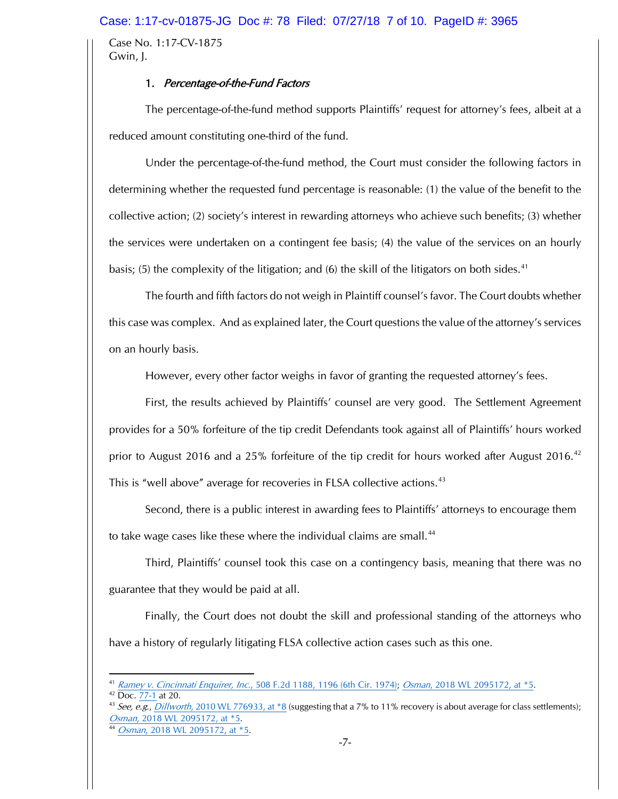Case No. 1:17-CV-1875 Gwin, J.

# 1. Percentage-of-the-Fund Factors

The percentage-of-the-fund method supports Plaintiffs' request for attorney's fees, albeit at a reduced amount constituting one-third of the fund.

Under the percentage-of-the-fund method, the Court must consider the following factors in determining whether the requested fund percentage is reasonable: (1) the value of the benefit to the collective action; (2) society's interest in rewarding attorneys who achieve such benefits; (3) whether the services were undertaken on a contingent fee basis; (4) the value of the services on an hourly basis; (5) the complexity of the litigation; and (6) the skill of the litigators on both sides.<sup>41</sup>

The fourth and fifth factors do not weigh in Plaintiff counsel's favor. The Court doubts whether this case was complex. And as explained later, the Court questions the value of the attorney's services on an hourly basis.

However, every other factor weighs in favor of granting the requested attorney's fees.

First, the results achieved by Plaintiffs' counsel are very good. The Settlement Agreement provides for a 50% forfeiture of the tip credit Defendants took against all of Plaintiffs' hours worked prior to August 2016 and a 25% forfeiture of the tip credit for hours worked after August 2016.<sup>42</sup> This is "well above" average for recoveries in FLSA collective actions.<sup>43</sup>

Second, there is a public interest in awarding fees to Plaintiffs' attorneys to encourage them to take wage cases like these where the individual claims are small.<sup>44</sup>

Third, Plaintiffs' counsel took this case on a contingency basis, meaning that there was no guarantee that they would be paid at all.

Finally, the Court does not doubt the skill and professional standing of the attorneys who have a history of regularly litigating FLSA collective action cases such as this one.

<sup>42</sup> Doc. 77-1 at 20.

 $\overline{\phantom{a}}$ Ramey v. Cincinnati Enquirer, Inc., 508 F.2d 1188, 1196 (6th Cir. 1974); Osman, 2018 WL 2095172, at \*5.

<sup>&</sup>lt;sup>43</sup> See, e.g., Dillworth, 2010 WL 776933, at  $*8$  (suggesting that a 7% to 11% recovery is about average for class settlements); Osman, 2018 WL 2095172, at \*5.

<sup>44</sup> *Osman*, 2018 WL 2095172, at \*5.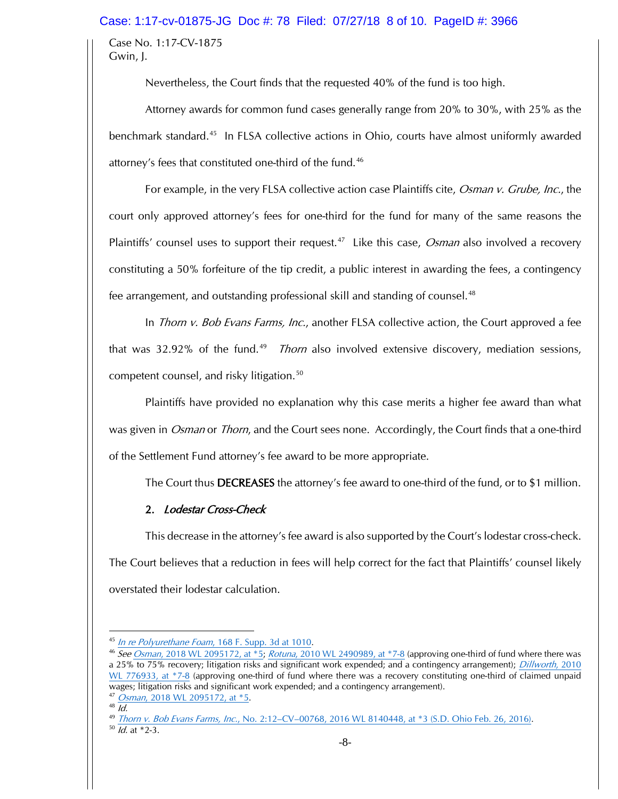# Case: 1:17-cv-01875-JG Doc #: 78 Filed: 07/27/18 8 of 10. PageID #: 3966

Case No. 1:17-CV-1875 Gwin, J.

Nevertheless, the Court finds that the requested 40% of the fund is too high.

Attorney awards for common fund cases generally range from 20% to 30%, with 25% as the benchmark standard.<sup>45</sup> In FLSA collective actions in Ohio, courts have almost uniformly awarded attorney's fees that constituted one-third of the fund.<sup>46</sup>

For example, in the very FLSA collective action case Plaintiffs cite, *Osman v. Grube, Inc.*, the court only approved attorney's fees for one-third for the fund for many of the same reasons the Plaintiffs' counsel uses to support their request.<sup>47</sup> Like this case, *Osman* also involved a recovery constituting a 50% forfeiture of the tip credit, a public interest in awarding the fees, a contingency fee arrangement, and outstanding professional skill and standing of counsel.<sup>48</sup>

In *Thorn v. Bob Evans Farms, Inc.*, another FLSA collective action, the Court approved a fee that was 32.92% of the fund.<sup>49</sup> *Thorn* also involved extensive discovery, mediation sessions, competent counsel, and risky litigation.<sup>50</sup>

Plaintiffs have provided no explanation why this case merits a higher fee award than what was given in *Osman* or *Thorn*, and the Court sees none. Accordingly, the Court finds that a one-third of the Settlement Fund attorney's fee award to be more appropriate.

The Court thus DECREASES the attorney's fee award to one-third of the fund, or to \$1 million.

# 2. Lodestar Cross-Check

This decrease in the attorney's fee award is also supported by the Court's lodestar cross-check. The Court believes that a reduction in fees will help correct for the fact that Plaintiffs' counsel likely overstated their lodestar calculation.

 $\overline{\phantom{a}}$ 

<sup>45</sup> In re Polyurethane Foam, 168 F. Supp. 3d at 1010.

<sup>46</sup> See Osman, 2018 WL 2095172, at \*5; Rotuna, 2010 WL 2490989, at \*7-8 (approving one-third of fund where there was a 25% to 75% recovery; litigation risks and significant work expended; and a contingency arrangement); *Dillworth*, 2010 WL 776933, at \*7-8 (approving one-third of fund where there was a recovery constituting one-third of claimed unpaid wages; litigation risks and significant work expended; and a contingency arrangement).

<sup>47</sup> *Osman*, 2018 WL 2095172, at \*5.

 $48 \overline{Id}$ .

<sup>49</sup> Thorn v. Bob Evans Farms, Inc., No. 2:12-CV-00768, 2016 WL 8140448, at \*3 (S.D. Ohio Feb. 26, 2016).

 $\frac{50}{1}$   $\frac{Id.}{3}$  at \*2-3.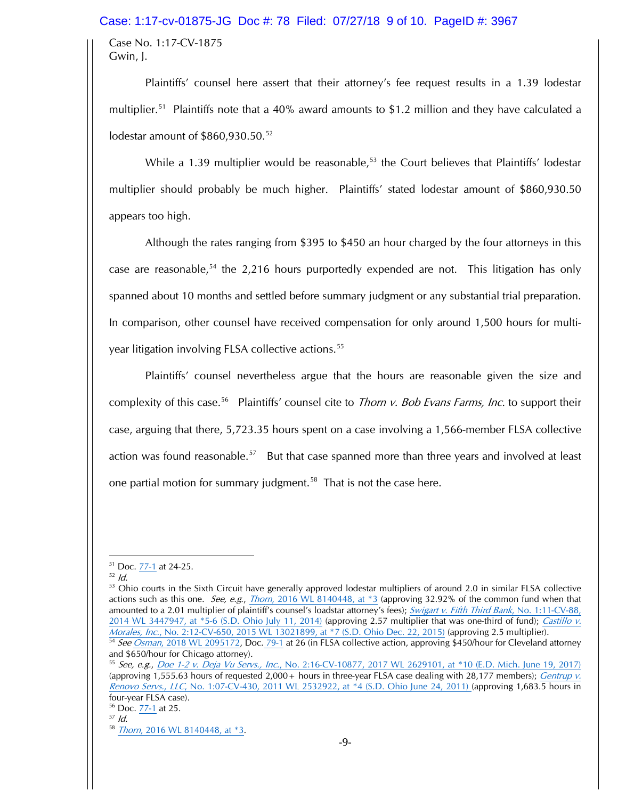### Case: 1:17-cv-01875-JG Doc #: 78 Filed: 07/27/18 9 of 10. PageID #: 3967

Case No. 1:17-CV-1875 Gwin, J.

Plaintiffs' counsel here assert that their attorney's fee request results in a 1.39 lodestar multiplier.<sup>51</sup> Plaintiffs note that a 40% award amounts to \$1.2 million and they have calculated a lodestar amount of  $$860.930.50.<sup>52</sup>$ 

While a 1.39 multiplier would be reasonable,<sup>53</sup> the Court believes that Plaintiffs' lodestar multiplier should probably be much higher. Plaintiffs' stated lodestar amount of \$860,930.50 appears too high.

Although the rates ranging from \$395 to \$450 an hour charged by the four attorneys in this case are reasonable,<sup>54</sup> the 2,216 hours purportedly expended are not. This litigation has only spanned about 10 months and settled before summary judgment or any substantial trial preparation. In comparison, other counsel have received compensation for only around 1,500 hours for multiyear litigation involving FLSA collective actions.<sup>55</sup>

Plaintiffs' counsel nevertheless argue that the hours are reasonable given the size and complexity of this case.<sup>56</sup> Plaintiffs' counsel cite to *Thorn v. Bob Evans Farms, Inc.* to support their case, arguing that there, 5,723.35 hours spent on a case involving a 1,566-member FLSA collective action was found reasonable.<sup>57</sup> But that case spanned more than three years and involved at least one partial motion for summary judgment.<sup>58</sup> That is not the case here.

 $51$  Doc.  $77-1$  at 24-25.

 $52$  *Id.* 

<sup>53</sup> Ohio courts in the Sixth Circuit have generally approved lodestar multipliers of around 2.0 in similar FLSA collective actions such as this one. See, e.g., Thorn, 2016 WL 8140448, at \*3 (approving 32.92% of the common fund when that amounted to a 2.01 multiplier of plaintiff's counsel's loadstar attorney's fees); Swigart v. Fifth Third Bank, No. 1:11-CV-88, 2014 WL 3447947, at \*5-6 (S.D. Ohio July 11, 2014) (approving 2.57 multiplier that was one-third of fund); Castillo v. Morales, Inc., No. 2:12-CV-650, 2015 WL 13021899, at \*7 (S.D. Ohio Dec. 22, 2015) (approving 2.5 multiplier).

<sup>54</sup> See Osman, 2018 WL 2095172, Doc. 79-1 at 26 (in FLSA collective action, approving \$450/hour for Cleveland attorney and \$650/hour for Chicago attorney).

<sup>55</sup> See, e.g., Doe 1-2 v. Deja Vu Servs., Inc., No. 2:16-CV-10877, 2017 WL 2629101, at \*10 (E.D. Mich. June 19, 2017) (approving 1,555.63 hours of requested 2,000 + hours in three-year FLSA case dealing with 28,177 members); *Gentrup v.* Renovo Servs., LLC, No. 1:07-CV-430, 2011 WL 2532922, at \*4 (S.D. Ohio June 24, 2011) (approving 1,683.5 hours in four-year FLSA case).<br><sup>56</sup> Doc. 77-1 at 25.

<sup>57</sup> Id.

<sup>58</sup> Thorn, 2016 WL 8140448, at \*3.